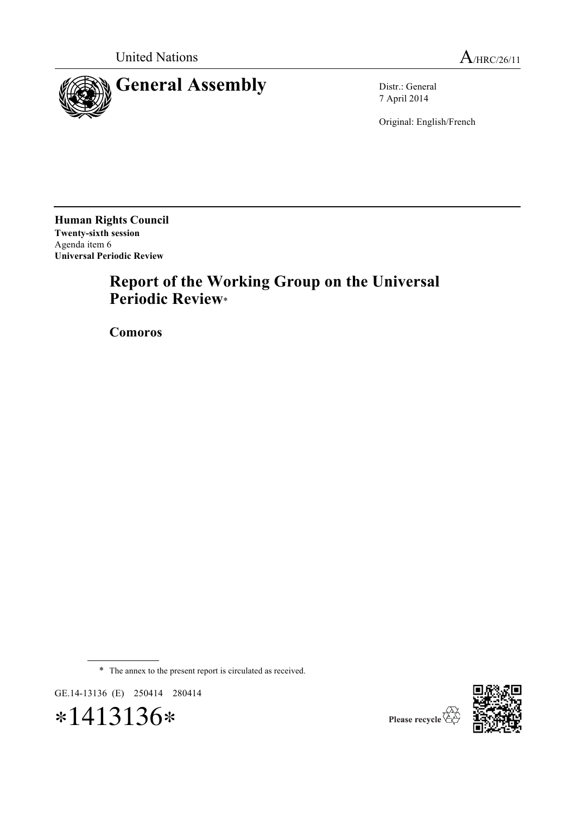

7 April 2014

Original: English/French

**Human Rights Council Twenty-sixth session** Agenda item 6 **Universal Periodic Review**

# **Report of the Working Group on the Universal Periodic Review**\*

**Comoros**

\* The annex to the present report is circulated as received.

GE.14-13136 (E) 250414 280414



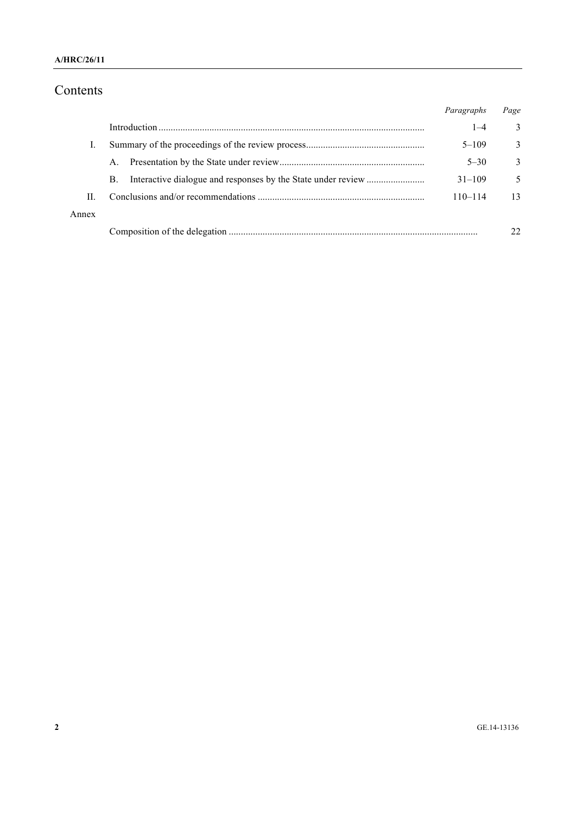# Contents

|       |    | Paragraphs  | Page |
|-------|----|-------------|------|
|       |    | $1 - 4$     | 3    |
|       |    | $5 - 109$   | 3    |
|       | A. | $5 - 30$    | 3    |
|       | B. | $31 - 109$  | 5    |
| $\Pi$ |    | $110 - 114$ | 13   |
| Annex |    |             |      |
|       |    |             | 22   |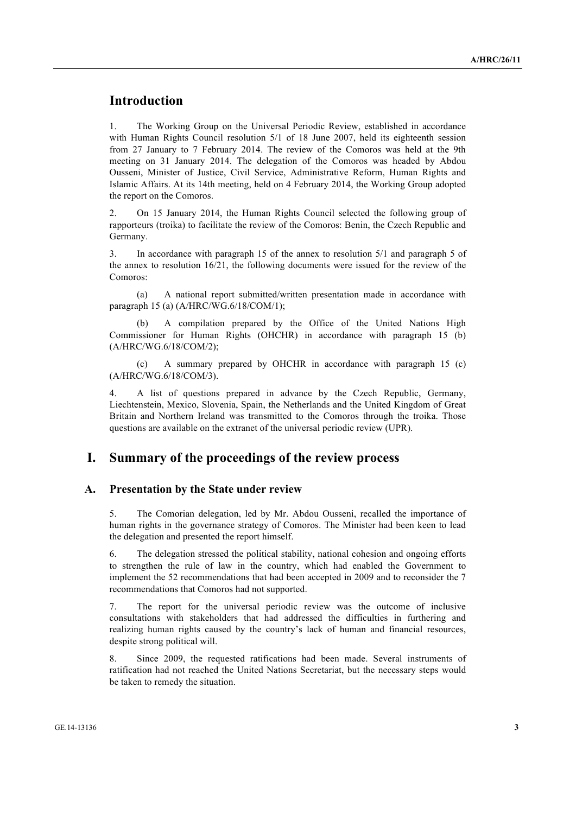## **Introduction**

1. The Working Group on the Universal Periodic Review, established in accordance with Human Rights Council resolution 5/1 of 18 June 2007, held its eighteenth session from 27 January to 7 February 2014. The review of the Comoros was held at the 9th meeting on 31 January 2014. The delegation of the Comoros was headed by Abdou Ousseni, Minister of Justice, Civil Service, Administrative Reform, Human Rights and Islamic Affairs. At its 14th meeting, held on 4 February 2014, the Working Group adopted the report on the Comoros.

2. On 15 January 2014, the Human Rights Council selected the following group of rapporteurs (troika) to facilitate the review of the Comoros: Benin, the Czech Republic and Germany.

3. In accordance with paragraph 15 of the annex to resolution 5/1 and paragraph 5 of the annex to resolution 16/21, the following documents were issued for the review of the Comoros:

(a) A national report submitted/written presentation made in accordance with paragraph 15 (a) (A/HRC/WG.6/18/COM/1);

A compilation prepared by the Office of the United Nations High Commissioner for Human Rights (OHCHR) in accordance with paragraph 15 (b) (A/HRC/WG.6/18/COM/2);

(c) A summary prepared by OHCHR in accordance with paragraph 15 (c) (A/HRC/WG.6/18/COM/3).

4. A list of questions prepared in advance by the Czech Republic, Germany, Liechtenstein, Mexico, Slovenia, Spain, the Netherlands and the United Kingdom of Great Britain and Northern Ireland was transmitted to the Comoros through the troika. Those questions are available on the extranet of the universal periodic review (UPR).

### **I. Summary of the proceedings of the review process**

#### **A. Presentation by the State under review**

5. The Comorian delegation, led by Mr. Abdou Ousseni, recalled the importance of human rights in the governance strategy of Comoros. The Minister had been keen to lead the delegation and presented the report himself.

6. The delegation stressed the political stability, national cohesion and ongoing efforts to strengthen the rule of law in the country, which had enabled the Government to implement the 52 recommendations that had been accepted in 2009 and to reconsider the 7 recommendations that Comoros had not supported.

7. The report for the universal periodic review was the outcome of inclusive consultations with stakeholders that had addressed the difficulties in furthering and realizing human rights caused by the country's lack of human and financial resources, despite strong political will.

8. Since 2009, the requested ratifications had been made. Several instruments of ratification had not reached the United Nations Secretariat, but the necessary steps would be taken to remedy the situation.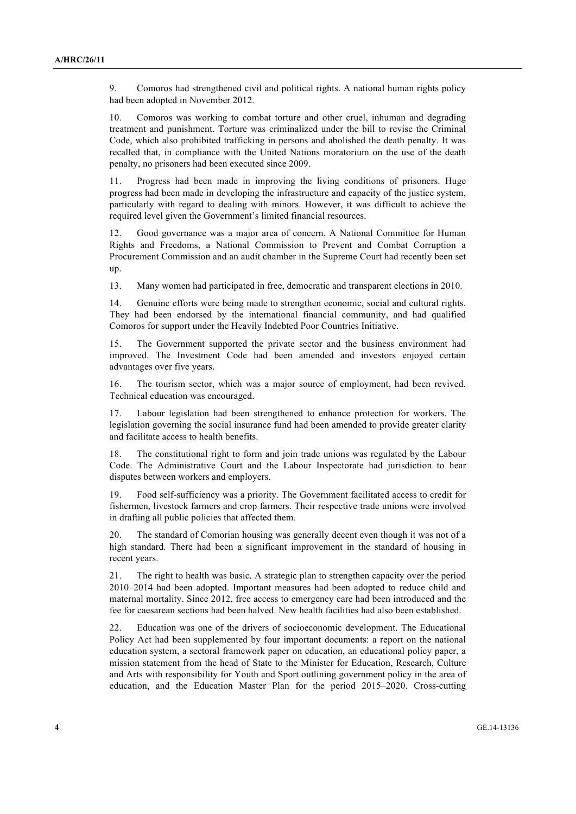9. Comoros had strengthened civil and political rights. A national human rights policy had been adopted in November 2012.

10. Comoros was working to combat torture and other cruel, inhuman and degrading treatment and punishment. Torture was criminalized under the bill to revise the Criminal Code, which also prohibited trafficking in persons and abolished the death penalty. It was recalled that, in compliance with the United Nations moratorium on the use of the death penalty, no prisoners had been executed since 2009.

11. Progress had been made in improving the living conditions of prisoners. Huge progress had been made in developing the infrastructure and capacity of the justice system, particularly with regard to dealing with minors. However, it was difficult to achieve the required level given the Government's limited financial resources.

12. Good governance was a major area of concern. A National Committee for Human Rights and Freedoms, a National Commission to Prevent and Combat Corruption a Procurement Commission and an audit chamber in the Supreme Court had recently been set up.

13. Many women had participated in free, democratic and transparent elections in 2010.

14. Genuine efforts were being made to strengthen economic, social and cultural rights. They had been endorsed by the international financial community, and had qualified Comoros for support under the Heavily Indebted Poor Countries Initiative.

15. The Government supported the private sector and the business environment had improved. The Investment Code had been amended and investors enjoyed certain advantages over five years.

16. The tourism sector, which was a major source of employment, had been revived. Technical education was encouraged.

17. Labour legislation had been strengthened to enhance protection for workers. The legislation governing the social insurance fund had been amended to provide greater clarity and facilitate access to health benefits.

18. The constitutional right to form and join trade unions was regulated by the Labour Code. The Administrative Court and the Labour Inspectorate had jurisdiction to hear disputes between workers and employers.

19. Food self-sufficiency was a priority. The Government facilitated access to credit for fishermen, livestock farmers and crop farmers. Their respective trade unions were involved in drafting all public policies that affected them.

20. The standard of Comorian housing was generally decent even though it was not of a high standard. There had been a significant improvement in the standard of housing in recent years.

21. The right to health was basic. A strategic plan to strengthen capacity over the period 2010–2014 had been adopted. Important measures had been adopted to reduce child and maternal mortality. Since 2012, free access to emergency care had been introduced and the fee for caesarean sections had been halved. New health facilities had also been established.

22. Education was one of the drivers of socioeconomic development. The Educational Policy Act had been supplemented by four important documents: a report on the national education system, a sectoral framework paper on education, an educational policy paper, a mission statement from the head of State to the Minister for Education, Research, Culture and Arts with responsibility for Youth and Sport outlining government policy in the area of education, and the Education Master Plan for the period 2015–2020. Cross-cutting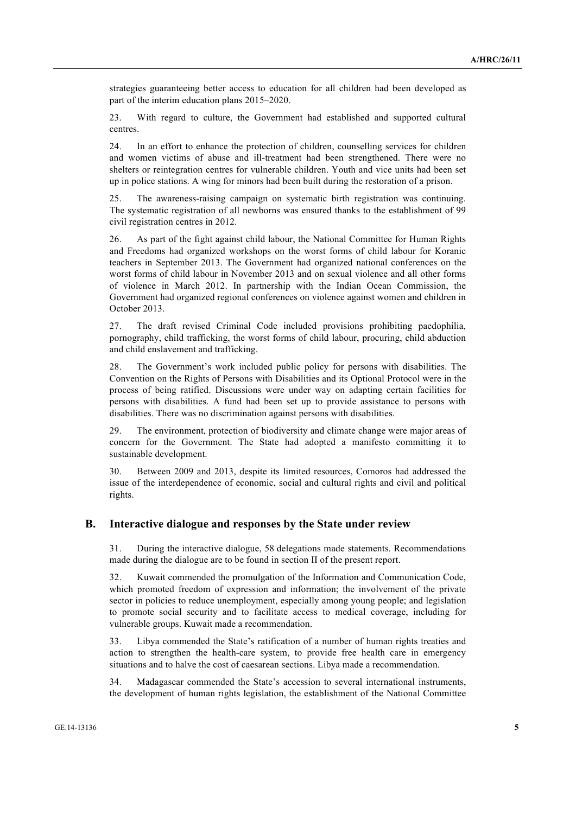strategies guaranteeing better access to education for all children had been developed as part of the interim education plans 2015–2020.

23. With regard to culture, the Government had established and supported cultural centres.

24. In an effort to enhance the protection of children, counselling services for children and women victims of abuse and ill-treatment had been strengthened. There were no shelters or reintegration centres for vulnerable children. Youth and vice units had been set up in police stations. A wing for minors had been built during the restoration of a prison.

25. The awareness-raising campaign on systematic birth registration was continuing. The systematic registration of all newborns was ensured thanks to the establishment of 99 civil registration centres in 2012.

26. As part of the fight against child labour, the National Committee for Human Rights and Freedoms had organized workshops on the worst forms of child labour for Koranic teachers in September 2013. The Government had organized national conferences on the worst forms of child labour in November 2013 and on sexual violence and all other forms of violence in March 2012. In partnership with the Indian Ocean Commission, the Government had organized regional conferences on violence against women and children in October 2013.

27. The draft revised Criminal Code included provisions prohibiting paedophilia, pornography, child trafficking, the worst forms of child labour, procuring, child abduction and child enslavement and trafficking.

28. The Government's work included public policy for persons with disabilities. The Convention on the Rights of Persons with Disabilities and its Optional Protocol were in the process of being ratified. Discussions were under way on adapting certain facilities for persons with disabilities. A fund had been set up to provide assistance to persons with disabilities. There was no discrimination against persons with disabilities.

29. The environment, protection of biodiversity and climate change were major areas of concern for the Government. The State had adopted a manifesto committing it to sustainable development.

30. Between 2009 and 2013, despite its limited resources, Comoros had addressed the issue of the interdependence of economic, social and cultural rights and civil and political rights.

#### **B. Interactive dialogue and responses by the State under review**

31. During the interactive dialogue, 58 delegations made statements. Recommendations made during the dialogue are to be found in section II of the present report.

32. Kuwait commended the promulgation of the Information and Communication Code, which promoted freedom of expression and information; the involvement of the private sector in policies to reduce unemployment, especially among young people; and legislation to promote social security and to facilitate access to medical coverage, including for vulnerable groups. Kuwait made a recommendation.

33. Libya commended the State's ratification of a number of human rights treaties and action to strengthen the health-care system, to provide free health care in emergency situations and to halve the cost of caesarean sections. Libya made a recommendation.

34. Madagascar commended the State's accession to several international instruments, the development of human rights legislation, the establishment of the National Committee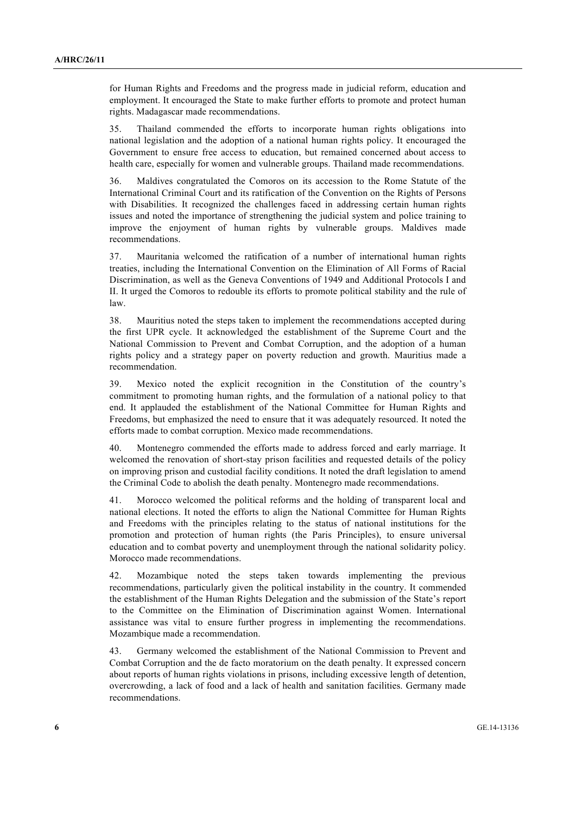for Human Rights and Freedoms and the progress made in judicial reform, education and employment. It encouraged the State to make further efforts to promote and protect human rights. Madagascar made recommendations.

35. Thailand commended the efforts to incorporate human rights obligations into national legislation and the adoption of a national human rights policy. It encouraged the Government to ensure free access to education, but remained concerned about access to health care, especially for women and vulnerable groups. Thailand made recommendations.

36. Maldives congratulated the Comoros on its accession to the Rome Statute of the International Criminal Court and its ratification of the Convention on the Rights of Persons with Disabilities. It recognized the challenges faced in addressing certain human rights issues and noted the importance of strengthening the judicial system and police training to improve the enjoyment of human rights by vulnerable groups. Maldives made recommendations.

37. Mauritania welcomed the ratification of a number of international human rights treaties, including the International Convention on the Elimination of All Forms of Racial Discrimination, as well as the Geneva Conventions of 1949 and Additional Protocols I and II. It urged the Comoros to redouble its efforts to promote political stability and the rule of law.

38. Mauritius noted the steps taken to implement the recommendations accepted during the first UPR cycle. It acknowledged the establishment of the Supreme Court and the National Commission to Prevent and Combat Corruption, and the adoption of a human rights policy and a strategy paper on poverty reduction and growth. Mauritius made a recommendation.

39. Mexico noted the explicit recognition in the Constitution of the country's commitment to promoting human rights, and the formulation of a national policy to that end. It applauded the establishment of the National Committee for Human Rights and Freedoms, but emphasized the need to ensure that it was adequately resourced. It noted the efforts made to combat corruption. Mexico made recommendations.

40. Montenegro commended the efforts made to address forced and early marriage. It welcomed the renovation of short-stay prison facilities and requested details of the policy on improving prison and custodial facility conditions. It noted the draft legislation to amend the Criminal Code to abolish the death penalty. Montenegro made recommendations.

41. Morocco welcomed the political reforms and the holding of transparent local and national elections. It noted the efforts to align the National Committee for Human Rights and Freedoms with the principles relating to the status of national institutions for the promotion and protection of human rights (the Paris Principles), to ensure universal education and to combat poverty and unemployment through the national solidarity policy. Morocco made recommendations.

42. Mozambique noted the steps taken towards implementing the previous recommendations, particularly given the political instability in the country. It commended the establishment of the Human Rights Delegation and the submission of the State's report to the Committee on the Elimination of Discrimination against Women. International assistance was vital to ensure further progress in implementing the recommendations. Mozambique made a recommendation.

43. Germany welcomed the establishment of the National Commission to Prevent and Combat Corruption and the de facto moratorium on the death penalty. It expressed concern about reports of human rights violations in prisons, including excessive length of detention, overcrowding, a lack of food and a lack of health and sanitation facilities. Germany made recommendations.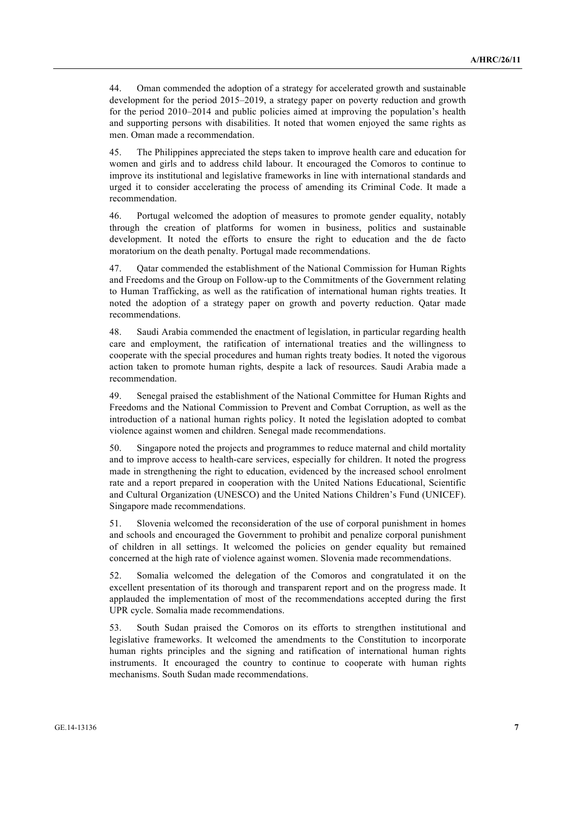44. Oman commended the adoption of a strategy for accelerated growth and sustainable development for the period 2015–2019, a strategy paper on poverty reduction and growth for the period 2010–2014 and public policies aimed at improving the population's health and supporting persons with disabilities. It noted that women enjoyed the same rights as men. Oman made a recommendation.

45. The Philippines appreciated the steps taken to improve health care and education for women and girls and to address child labour. It encouraged the Comoros to continue to improve its institutional and legislative frameworks in line with international standards and urged it to consider accelerating the process of amending its Criminal Code. It made a recommendation.

46. Portugal welcomed the adoption of measures to promote gender equality, notably through the creation of platforms for women in business, politics and sustainable development. It noted the efforts to ensure the right to education and the de facto moratorium on the death penalty. Portugal made recommendations.

47. Qatar commended the establishment of the National Commission for Human Rights and Freedoms and the Group on Follow-up to the Commitments of the Government relating to Human Trafficking, as well as the ratification of international human rights treaties. It noted the adoption of a strategy paper on growth and poverty reduction. Qatar made recommendations.

48. Saudi Arabia commended the enactment of legislation, in particular regarding health care and employment, the ratification of international treaties and the willingness to cooperate with the special procedures and human rights treaty bodies. It noted the vigorous action taken to promote human rights, despite a lack of resources. Saudi Arabia made a recommendation.

49. Senegal praised the establishment of the National Committee for Human Rights and Freedoms and the National Commission to Prevent and Combat Corruption, as well as the introduction of a national human rights policy. It noted the legislation adopted to combat violence against women and children. Senegal made recommendations.

50. Singapore noted the projects and programmes to reduce maternal and child mortality and to improve access to health-care services, especially for children. It noted the progress made in strengthening the right to education, evidenced by the increased school enrolment rate and a report prepared in cooperation with the United Nations Educational, Scientific and Cultural Organization (UNESCO) and the United Nations Children's Fund (UNICEF). Singapore made recommendations.

51. Slovenia welcomed the reconsideration of the use of corporal punishment in homes and schools and encouraged the Government to prohibit and penalize corporal punishment of children in all settings. It welcomed the policies on gender equality but remained concerned at the high rate of violence against women. Slovenia made recommendations.

52. Somalia welcomed the delegation of the Comoros and congratulated it on the excellent presentation of its thorough and transparent report and on the progress made. It applauded the implementation of most of the recommendations accepted during the first UPR cycle. Somalia made recommendations.

53. South Sudan praised the Comoros on its efforts to strengthen institutional and legislative frameworks. It welcomed the amendments to the Constitution to incorporate human rights principles and the signing and ratification of international human rights instruments. It encouraged the country to continue to cooperate with human rights mechanisms. South Sudan made recommendations.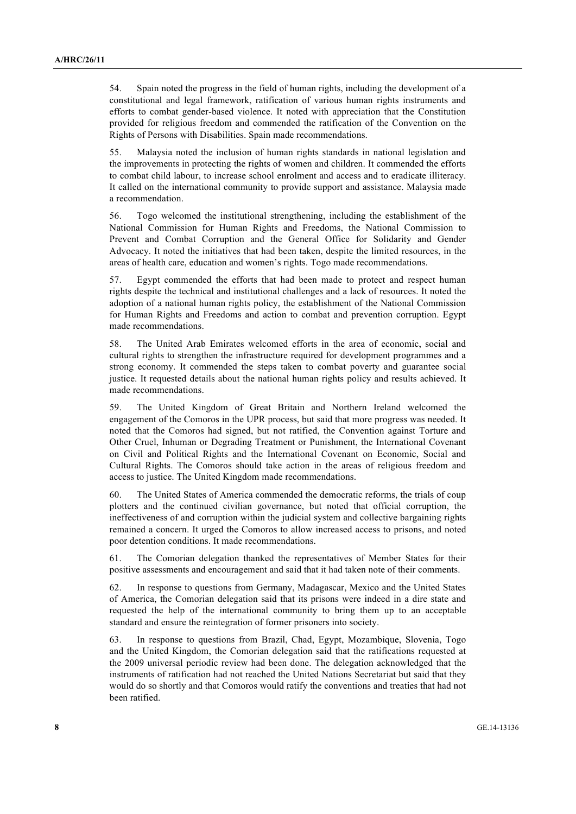54. Spain noted the progress in the field of human rights, including the development of a constitutional and legal framework, ratification of various human rights instruments and efforts to combat gender-based violence. It noted with appreciation that the Constitution provided for religious freedom and commended the ratification of the Convention on the Rights of Persons with Disabilities. Spain made recommendations.

55. Malaysia noted the inclusion of human rights standards in national legislation and the improvements in protecting the rights of women and children. It commended the efforts to combat child labour, to increase school enrolment and access and to eradicate illiteracy. It called on the international community to provide support and assistance. Malaysia made a recommendation.

56. Togo welcomed the institutional strengthening, including the establishment of the National Commission for Human Rights and Freedoms, the National Commission to Prevent and Combat Corruption and the General Office for Solidarity and Gender Advocacy. It noted the initiatives that had been taken, despite the limited resources, in the areas of health care, education and women's rights. Togo made recommendations.

57. Egypt commended the efforts that had been made to protect and respect human rights despite the technical and institutional challenges and a lack of resources. It noted the adoption of a national human rights policy, the establishment of the National Commission for Human Rights and Freedoms and action to combat and prevention corruption. Egypt made recommendations.

58. The United Arab Emirates welcomed efforts in the area of economic, social and cultural rights to strengthen the infrastructure required for development programmes and a strong economy. It commended the steps taken to combat poverty and guarantee social justice. It requested details about the national human rights policy and results achieved. It made recommendations.

59. The United Kingdom of Great Britain and Northern Ireland welcomed the engagement of the Comoros in the UPR process, but said that more progress was needed. It noted that the Comoros had signed, but not ratified, the Convention against Torture and Other Cruel, Inhuman or Degrading Treatment or Punishment, the International Covenant on Civil and Political Rights and the International Covenant on Economic, Social and Cultural Rights. The Comoros should take action in the areas of religious freedom and access to justice. The United Kingdom made recommendations.

60. The United States of America commended the democratic reforms, the trials of coup plotters and the continued civilian governance, but noted that official corruption, the ineffectiveness of and corruption within the judicial system and collective bargaining rights remained a concern. It urged the Comoros to allow increased access to prisons, and noted poor detention conditions. It made recommendations.

61. The Comorian delegation thanked the representatives of Member States for their positive assessments and encouragement and said that it had taken note of their comments.

62. In response to questions from Germany, Madagascar, Mexico and the United States of America, the Comorian delegation said that its prisons were indeed in a dire state and requested the help of the international community to bring them up to an acceptable standard and ensure the reintegration of former prisoners into society.

63. In response to questions from Brazil, Chad, Egypt, Mozambique, Slovenia, Togo and the United Kingdom, the Comorian delegation said that the ratifications requested at the 2009 universal periodic review had been done. The delegation acknowledged that the instruments of ratification had not reached the United Nations Secretariat but said that they would do so shortly and that Comoros would ratify the conventions and treaties that had not been ratified.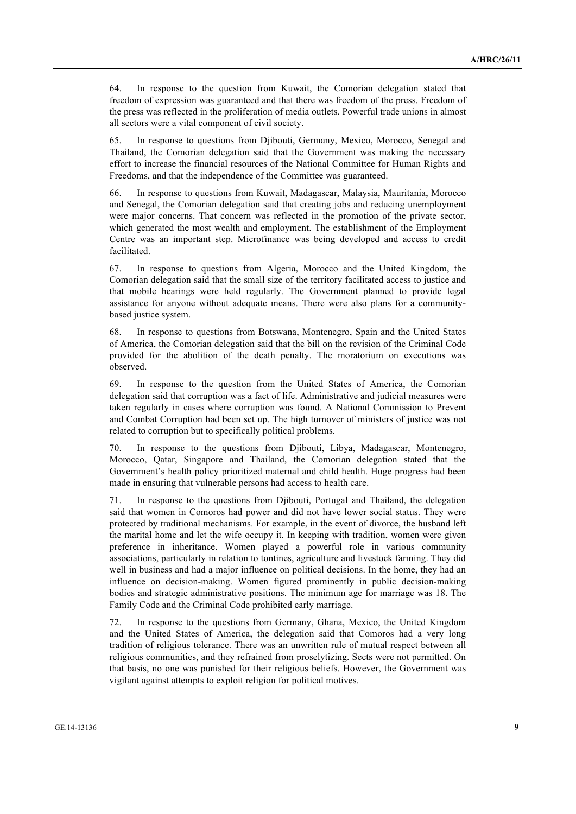64. In response to the question from Kuwait, the Comorian delegation stated that freedom of expression was guaranteed and that there was freedom of the press. Freedom of the press was reflected in the proliferation of media outlets. Powerful trade unions in almost all sectors were a vital component of civil society.

65. In response to questions from Djibouti, Germany, Mexico, Morocco, Senegal and Thailand, the Comorian delegation said that the Government was making the necessary effort to increase the financial resources of the National Committee for Human Rights and Freedoms, and that the independence of the Committee was guaranteed.

66. In response to questions from Kuwait, Madagascar, Malaysia, Mauritania, Morocco and Senegal, the Comorian delegation said that creating jobs and reducing unemployment were major concerns. That concern was reflected in the promotion of the private sector, which generated the most wealth and employment. The establishment of the Employment Centre was an important step. Microfinance was being developed and access to credit facilitated.

67. In response to questions from Algeria, Morocco and the United Kingdom, the Comorian delegation said that the small size of the territory facilitated access to justice and that mobile hearings were held regularly. The Government planned to provide legal assistance for anyone without adequate means. There were also plans for a communitybased justice system.

68. In response to questions from Botswana, Montenegro, Spain and the United States of America, the Comorian delegation said that the bill on the revision of the Criminal Code provided for the abolition of the death penalty. The moratorium on executions was observed.

69. In response to the question from the United States of America, the Comorian delegation said that corruption was a fact of life. Administrative and judicial measures were taken regularly in cases where corruption was found. A National Commission to Prevent and Combat Corruption had been set up. The high turnover of ministers of justice was not related to corruption but to specifically political problems.

70. In response to the questions from Djibouti, Libya, Madagascar, Montenegro, Morocco, Qatar, Singapore and Thailand, the Comorian delegation stated that the Government's health policy prioritized maternal and child health. Huge progress had been made in ensuring that vulnerable persons had access to health care.

71. In response to the questions from Djibouti, Portugal and Thailand, the delegation said that women in Comoros had power and did not have lower social status. They were protected by traditional mechanisms. For example, in the event of divorce, the husband left the marital home and let the wife occupy it. In keeping with tradition, women were given preference in inheritance. Women played a powerful role in various community associations, particularly in relation to tontines, agriculture and livestock farming. They did well in business and had a major influence on political decisions. In the home, they had an influence on decision-making. Women figured prominently in public decision-making bodies and strategic administrative positions. The minimum age for marriage was 18. The Family Code and the Criminal Code prohibited early marriage.

72. In response to the questions from Germany, Ghana, Mexico, the United Kingdom and the United States of America, the delegation said that Comoros had a very long tradition of religious tolerance. There was an unwritten rule of mutual respect between all religious communities, and they refrained from proselytizing. Sects were not permitted. On that basis, no one was punished for their religious beliefs. However, the Government was vigilant against attempts to exploit religion for political motives.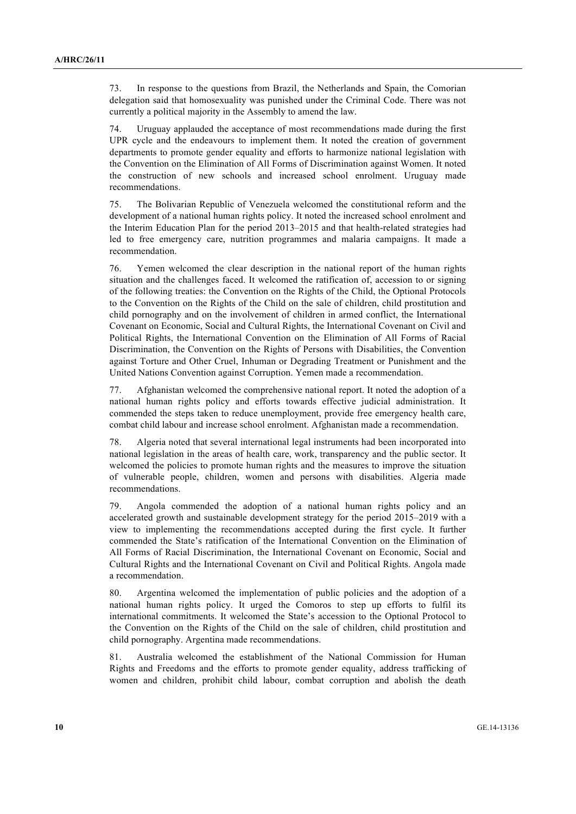73. In response to the questions from Brazil, the Netherlands and Spain, the Comorian delegation said that homosexuality was punished under the Criminal Code. There was not currently a political majority in the Assembly to amend the law.

74. Uruguay applauded the acceptance of most recommendations made during the first UPR cycle and the endeavours to implement them. It noted the creation of government departments to promote gender equality and efforts to harmonize national legislation with the Convention on the Elimination of All Forms of Discrimination against Women. It noted the construction of new schools and increased school enrolment. Uruguay made recommendations.

75. The Bolivarian Republic of Venezuela welcomed the constitutional reform and the development of a national human rights policy. It noted the increased school enrolment and the Interim Education Plan for the period 2013–2015 and that health-related strategies had led to free emergency care, nutrition programmes and malaria campaigns. It made a recommendation.

76. Yemen welcomed the clear description in the national report of the human rights situation and the challenges faced. It welcomed the ratification of, accession to or signing of the following treaties: the Convention on the Rights of the Child, the Optional Protocols to the Convention on the Rights of the Child on the sale of children, child prostitution and child pornography and on the involvement of children in armed conflict, the International Covenant on Economic, Social and Cultural Rights, the International Covenant on Civil and Political Rights, the International Convention on the Elimination of All Forms of Racial Discrimination, the Convention on the Rights of Persons with Disabilities, the Convention against Torture and Other Cruel, Inhuman or Degrading Treatment or Punishment and the United Nations Convention against Corruption. Yemen made a recommendation.

77. Afghanistan welcomed the comprehensive national report. It noted the adoption of a national human rights policy and efforts towards effective judicial administration. It commended the steps taken to reduce unemployment, provide free emergency health care, combat child labour and increase school enrolment. Afghanistan made a recommendation.

78. Algeria noted that several international legal instruments had been incorporated into national legislation in the areas of health care, work, transparency and the public sector. It welcomed the policies to promote human rights and the measures to improve the situation of vulnerable people, children, women and persons with disabilities. Algeria made recommendations.

79. Angola commended the adoption of a national human rights policy and an accelerated growth and sustainable development strategy for the period 2015–2019 with a view to implementing the recommendations accepted during the first cycle. It further commended the State's ratification of the International Convention on the Elimination of All Forms of Racial Discrimination, the International Covenant on Economic, Social and Cultural Rights and the International Covenant on Civil and Political Rights. Angola made a recommendation.

80. Argentina welcomed the implementation of public policies and the adoption of a national human rights policy. It urged the Comoros to step up efforts to fulfil its international commitments. It welcomed the State's accession to the Optional Protocol to the Convention on the Rights of the Child on the sale of children, child prostitution and child pornography. Argentina made recommendations.

81. Australia welcomed the establishment of the National Commission for Human Rights and Freedoms and the efforts to promote gender equality, address trafficking of women and children, prohibit child labour, combat corruption and abolish the death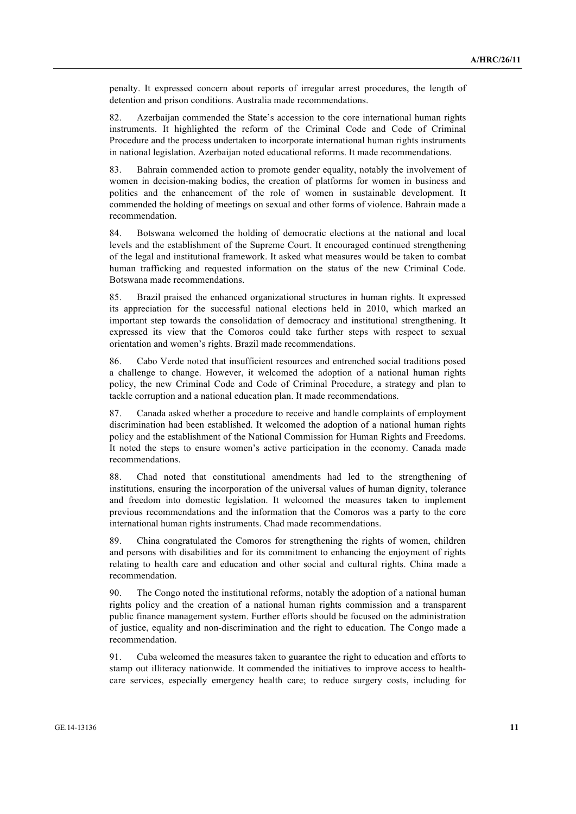penalty. It expressed concern about reports of irregular arrest procedures, the length of detention and prison conditions. Australia made recommendations.

82. Azerbaijan commended the State's accession to the core international human rights instruments. It highlighted the reform of the Criminal Code and Code of Criminal Procedure and the process undertaken to incorporate international human rights instruments in national legislation. Azerbaijan noted educational reforms. It made recommendations.

83. Bahrain commended action to promote gender equality, notably the involvement of women in decision-making bodies, the creation of platforms for women in business and politics and the enhancement of the role of women in sustainable development. It commended the holding of meetings on sexual and other forms of violence. Bahrain made a recommendation.

84. Botswana welcomed the holding of democratic elections at the national and local levels and the establishment of the Supreme Court. It encouraged continued strengthening of the legal and institutional framework. It asked what measures would be taken to combat human trafficking and requested information on the status of the new Criminal Code. Botswana made recommendations.

85. Brazil praised the enhanced organizational structures in human rights. It expressed its appreciation for the successful national elections held in 2010, which marked an important step towards the consolidation of democracy and institutional strengthening. It expressed its view that the Comoros could take further steps with respect to sexual orientation and women's rights. Brazil made recommendations.

86. Cabo Verde noted that insufficient resources and entrenched social traditions posed a challenge to change. However, it welcomed the adoption of a national human rights policy, the new Criminal Code and Code of Criminal Procedure, a strategy and plan to tackle corruption and a national education plan. It made recommendations.

87. Canada asked whether a procedure to receive and handle complaints of employment discrimination had been established. It welcomed the adoption of a national human rights policy and the establishment of the National Commission for Human Rights and Freedoms. It noted the steps to ensure women's active participation in the economy. Canada made recommendations.

88. Chad noted that constitutional amendments had led to the strengthening of institutions, ensuring the incorporation of the universal values of human dignity, tolerance and freedom into domestic legislation. It welcomed the measures taken to implement previous recommendations and the information that the Comoros was a party to the core international human rights instruments. Chad made recommendations.

89. China congratulated the Comoros for strengthening the rights of women, children and persons with disabilities and for its commitment to enhancing the enjoyment of rights relating to health care and education and other social and cultural rights. China made a recommendation.

90. The Congo noted the institutional reforms, notably the adoption of a national human rights policy and the creation of a national human rights commission and a transparent public finance management system. Further efforts should be focused on the administration of justice, equality and non-discrimination and the right to education. The Congo made a recommendation.

91. Cuba welcomed the measures taken to guarantee the right to education and efforts to stamp out illiteracy nationwide. It commended the initiatives to improve access to healthcare services, especially emergency health care; to reduce surgery costs, including for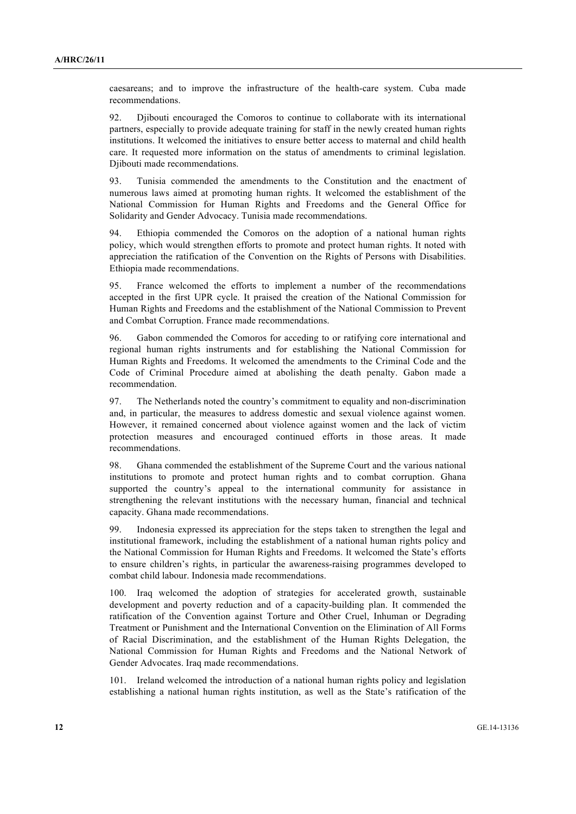caesareans; and to improve the infrastructure of the health-care system. Cuba made recommendations.

92. Djibouti encouraged the Comoros to continue to collaborate with its international partners, especially to provide adequate training for staff in the newly created human rights institutions. It welcomed the initiatives to ensure better access to maternal and child health care. It requested more information on the status of amendments to criminal legislation. Diibouti made recommendations.

93. Tunisia commended the amendments to the Constitution and the enactment of numerous laws aimed at promoting human rights. It welcomed the establishment of the National Commission for Human Rights and Freedoms and the General Office for Solidarity and Gender Advocacy. Tunisia made recommendations.

94. Ethiopia commended the Comoros on the adoption of a national human rights policy, which would strengthen efforts to promote and protect human rights. It noted with appreciation the ratification of the Convention on the Rights of Persons with Disabilities. Ethiopia made recommendations.

95. France welcomed the efforts to implement a number of the recommendations accepted in the first UPR cycle. It praised the creation of the National Commission for Human Rights and Freedoms and the establishment of the National Commission to Prevent and Combat Corruption. France made recommendations.

96. Gabon commended the Comoros for acceding to or ratifying core international and regional human rights instruments and for establishing the National Commission for Human Rights and Freedoms. It welcomed the amendments to the Criminal Code and the Code of Criminal Procedure aimed at abolishing the death penalty. Gabon made a recommendation.

97. The Netherlands noted the country's commitment to equality and non-discrimination and, in particular, the measures to address domestic and sexual violence against women. However, it remained concerned about violence against women and the lack of victim protection measures and encouraged continued efforts in those areas. It made recommendations.

98. Ghana commended the establishment of the Supreme Court and the various national institutions to promote and protect human rights and to combat corruption. Ghana supported the country's appeal to the international community for assistance in strengthening the relevant institutions with the necessary human, financial and technical capacity. Ghana made recommendations.

99. Indonesia expressed its appreciation for the steps taken to strengthen the legal and institutional framework, including the establishment of a national human rights policy and the National Commission for Human Rights and Freedoms. It welcomed the State's efforts to ensure children's rights, in particular the awareness-raising programmes developed to combat child labour. Indonesia made recommendations.

100. Iraq welcomed the adoption of strategies for accelerated growth, sustainable development and poverty reduction and of a capacity-building plan. It commended the ratification of the Convention against Torture and Other Cruel, Inhuman or Degrading Treatment or Punishment and the International Convention on the Elimination of All Forms of Racial Discrimination, and the establishment of the Human Rights Delegation, the National Commission for Human Rights and Freedoms and the National Network of Gender Advocates. Iraq made recommendations.

101. Ireland welcomed the introduction of a national human rights policy and legislation establishing a national human rights institution, as well as the State's ratification of the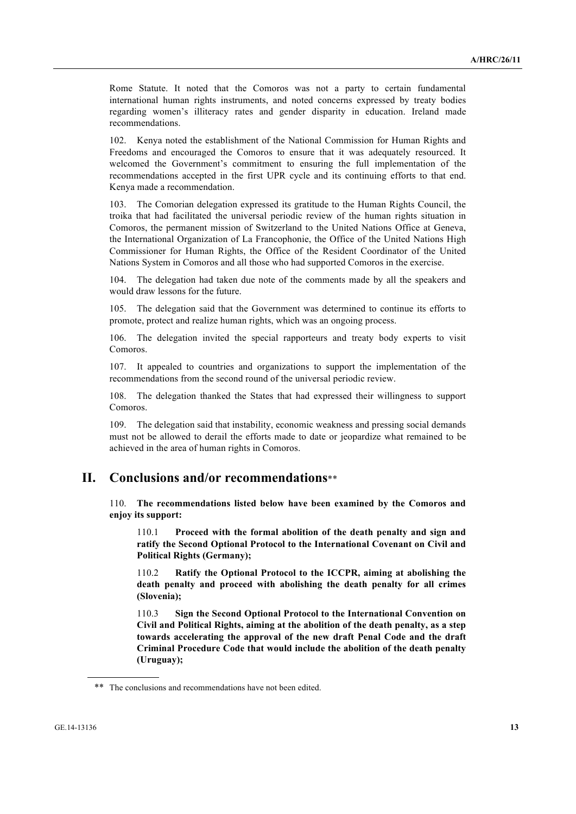Rome Statute. It noted that the Comoros was not a party to certain fundamental international human rights instruments, and noted concerns expressed by treaty bodies regarding women's illiteracy rates and gender disparity in education. Ireland made recommendations.

102. Kenya noted the establishment of the National Commission for Human Rights and Freedoms and encouraged the Comoros to ensure that it was adequately resourced. It welcomed the Government's commitment to ensuring the full implementation of the recommendations accepted in the first UPR cycle and its continuing efforts to that end. Kenya made a recommendation.

103. The Comorian delegation expressed its gratitude to the Human Rights Council, the troika that had facilitated the universal periodic review of the human rights situation in Comoros, the permanent mission of Switzerland to the United Nations Office at Geneva, the International Organization of La Francophonie, the Office of the United Nations High Commissioner for Human Rights, the Office of the Resident Coordinator of the United Nations System in Comoros and all those who had supported Comoros in the exercise.

104. The delegation had taken due note of the comments made by all the speakers and would draw lessons for the future.

105. The delegation said that the Government was determined to continue its efforts to promote, protect and realize human rights, which was an ongoing process.

106. The delegation invited the special rapporteurs and treaty body experts to visit Comoros.

107. It appealed to countries and organizations to support the implementation of the recommendations from the second round of the universal periodic review.

108. The delegation thanked the States that had expressed their willingness to support Comoros.

109. The delegation said that instability, economic weakness and pressing social demands must not be allowed to derail the efforts made to date or jeopardize what remained to be achieved in the area of human rights in Comoros.

#### **II. Conclusions and/or recommendations**\*\*

110. **The recommendations listed below have been examined by the Comoros and enjoy its support:**

110.1 **Proceed with the formal abolition of the death penalty and sign and ratify the Second Optional Protocol to the International Covenant on Civil and Political Rights (Germany);**

110.2 **Ratify the Optional Protocol to the ICCPR, aiming at abolishing the death penalty and proceed with abolishing the death penalty for all crimes (Slovenia);**

110.3 **Sign the Second Optional Protocol to the International Convention on Civil and Political Rights, aiming at the abolition of the death penalty, as a step towards accelerating the approval of the new draft Penal Code and the draft Criminal Procedure Code that would include the abolition of the death penalty (Uruguay);**

<sup>\*\*</sup> The conclusions and recommendations have not been edited.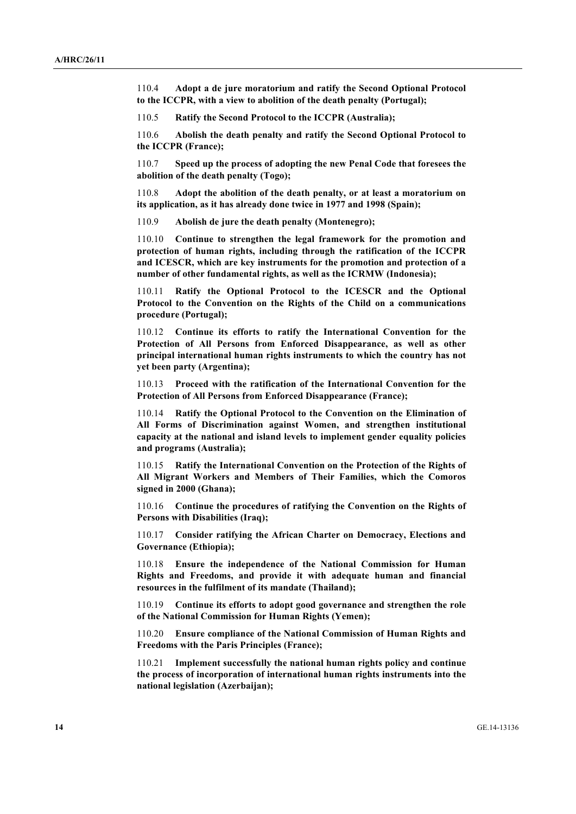110.4 **Adopt a de jure moratorium and ratify the Second Optional Protocol to the ICCPR, with a view to abolition of the death penalty (Portugal);**

110.5 **Ratify the Second Protocol to the ICCPR (Australia);**

110.6 **Abolish the death penalty and ratify the Second Optional Protocol to the ICCPR (France);**

110.7 **Speed up the process of adopting the new Penal Code that foresees the abolition of the death penalty (Togo);**

110.8 **Adopt the abolition of the death penalty, or at least a moratorium on its application, as it has already done twice in 1977 and 1998 (Spain);**

110.9 **Abolish de jure the death penalty (Montenegro);**

110.10 **Continue to strengthen the legal framework for the promotion and protection of human rights, including through the ratification of the ICCPR and ICESCR, which are key instruments for the promotion and protection of a number of other fundamental rights, as well as the ICRMW (Indonesia);**

110.11 **Ratify the Optional Protocol to the ICESCR and the Optional Protocol to the Convention on the Rights of the Child on a communications procedure (Portugal);**

110.12 **Continue its efforts to ratify the International Convention for the Protection of All Persons from Enforced Disappearance, as well as other principal international human rights instruments to which the country has not yet been party (Argentina);**

110.13 **Proceed with the ratification of the International Convention for the Protection of All Persons from Enforced Disappearance (France);**

110.14 **Ratify the Optional Protocol to the Convention on the Elimination of All Forms of Discrimination against Women, and strengthen institutional capacity at the national and island levels to implement gender equality policies and programs (Australia);**

110.15 **Ratify the International Convention on the Protection of the Rights of All Migrant Workers and Members of Their Families, which the Comoros signed in 2000 (Ghana);**

110.16 **Continue the procedures of ratifying the Convention on the Rights of Persons with Disabilities (Iraq);**

110.17 **Consider ratifying the African Charter on Democracy, Elections and Governance (Ethiopia);**

110.18 **Ensure the independence of the National Commission for Human Rights and Freedoms, and provide it with adequate human and financial resources in the fulfilment of its mandate (Thailand);**

110.19 **Continue its efforts to adopt good governance and strengthen the role of the National Commission for Human Rights (Yemen);**

110.20 **Ensure compliance of the National Commission of Human Rights and Freedoms with the Paris Principles (France);**

110.21 **Implement successfully the national human rights policy and continue the process of incorporation of international human rights instruments into the national legislation (Azerbaijan);**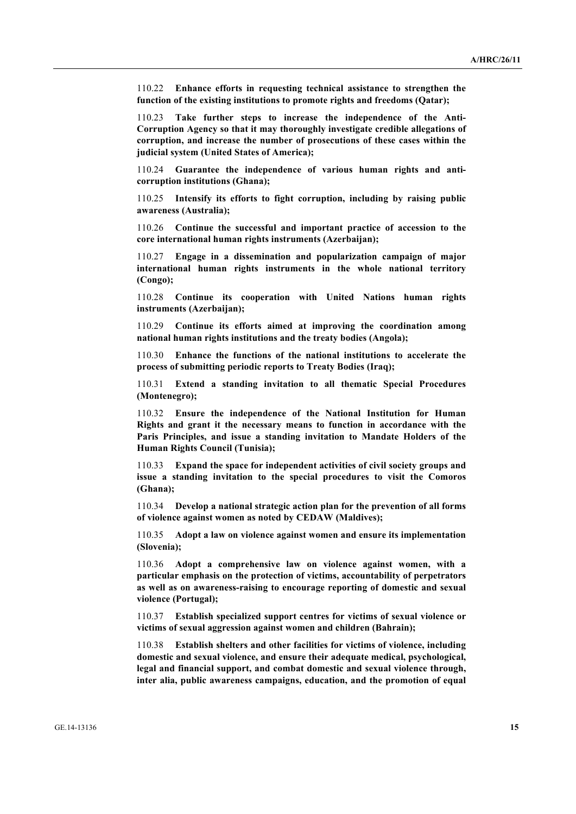110.22 **Enhance efforts in requesting technical assistance to strengthen the function of the existing institutions to promote rights and freedoms (Qatar);**

110.23 **Take further steps to increase the independence of the Anti-Corruption Agency so that it may thoroughly investigate credible allegations of corruption, and increase the number of prosecutions of these cases within the judicial system (United States of America);**

110.24 **Guarantee the independence of various human rights and anticorruption institutions (Ghana);**

110.25 **Intensify its efforts to fight corruption, including by raising public awareness (Australia);**

110.26 **Continue the successful and important practice of accession to the core international human rights instruments (Azerbaijan);**

110.27 **Engage in a dissemination and popularization campaign of major international human rights instruments in the whole national territory (Congo);**

110.28 **Continue its cooperation with United Nations human rights instruments (Azerbaijan);**

110.29 **Continue its efforts aimed at improving the coordination among national human rights institutions and the treaty bodies (Angola);**

110.30 **Enhance the functions of the national institutions to accelerate the process of submitting periodic reports to Treaty Bodies (Iraq);**

110.31 **Extend a standing invitation to all thematic Special Procedures (Montenegro);**

110.32 **Ensure the independence of the National Institution for Human Rights and grant it the necessary means to function in accordance with the Paris Principles, and issue a standing invitation to Mandate Holders of the Human Rights Council (Tunisia);**

110.33 **Expand the space for independent activities of civil society groups and issue a standing invitation to the special procedures to visit the Comoros (Ghana);**

110.34 **Develop a national strategic action plan for the prevention of all forms of violence against women as noted by CEDAW (Maldives);**

110.35 **Adopt a law on violence against women and ensure its implementation (Slovenia);**

110.36 **Adopt a comprehensive law on violence against women, with a particular emphasis on the protection of victims, accountability of perpetrators as well as on awareness-raising to encourage reporting of domestic and sexual violence (Portugal);**

110.37 **Establish specialized support centres for victims of sexual violence or victims of sexual aggression against women and children (Bahrain);**

110.38 **Establish shelters and other facilities for victims of violence, including domestic and sexual violence, and ensure their adequate medical, psychological, legal and financial support, and combat domestic and sexual violence through, inter alia, public awareness campaigns, education, and the promotion of equal**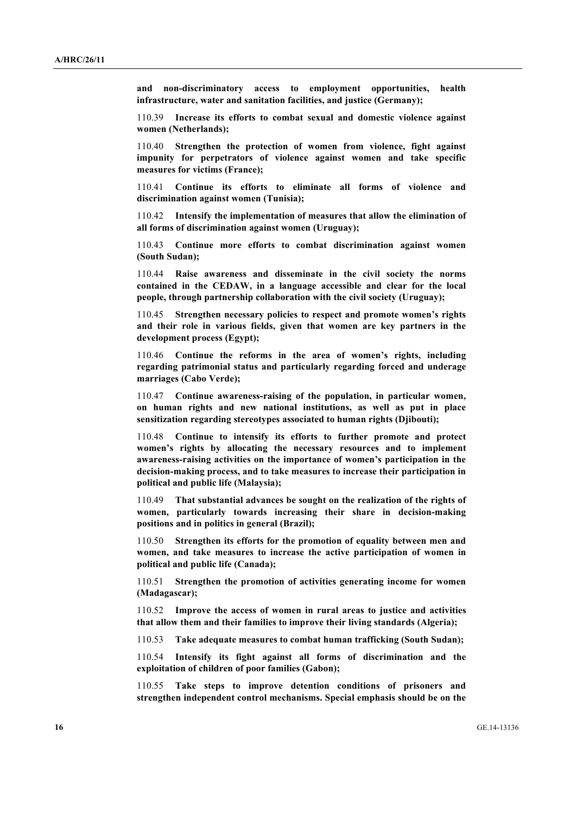**and non-discriminatory access to employment opportunities, health infrastructure, water and sanitation facilities, and justice (Germany);**

110.39 **Increase its efforts to combat sexual and domestic violence against women (Netherlands);**

110.40 **Strengthen the protection of women from violence, fight against impunity for perpetrators of violence against women and take specific measures for victims (France);**

110.41 **Continue its efforts to eliminate all forms of violence and discrimination against women (Tunisia);**

110.42 **Intensify the implementation of measures that allow the elimination of all forms of discrimination against women (Uruguay);**

110.43 **Continue more efforts to combat discrimination against women (South Sudan);**

110.44 **Raise awareness and disseminate in the civil society the norms contained in the CEDAW, in a language accessible and clear for the local people, through partnership collaboration with the civil society (Uruguay);**

**111.5** Strengthen necessary policies to respect and promote women's rights **and their role in various fields, given that women are key partners in the development process (Egypt);**

110.46 **Continue the reforms in the area of women's rights, including regarding patrimonial status and particularly regarding forced and underage marriages (Cabo Verde);**

110.47 **Continue awareness-raising of the population, in particular women, on human rights and new national institutions, as well as put in place sensitization regarding stereotypes associated to human rights (Djibouti);**

110.48 **Continue to intensify its efforts to further promote and protect women's rights by allocating the necessary resources and to implement awareness-raising activities on the importance of women's participation in the decision-making process, and to take measures to increase their participation in political and public life (Malaysia);**

110.49 **That substantial advances be sought on the realization of the rights of women, particularly towards increasing their share in decision-making positions and in politics in general (Brazil);**

110.50 **Strengthen its efforts for the promotion of equality between men and women, and take measures to increase the active participation of women in political and public life (Canada);**

110.51 **Strengthen the promotion of activities generating income for women (Madagascar);**

110.52 **Improve the access of women in rural areas to justice and activities that allow them and their families to improve their living standards (Algeria);**

110.53 **Take adequate measures to combat human trafficking (South Sudan);**

110.54 **Intensify its fight against all forms of discrimination and the exploitation of children of poor families (Gabon);**

110.55 **Take steps to improve detention conditions of prisoners and strengthen independent control mechanisms. Special emphasis should be on the**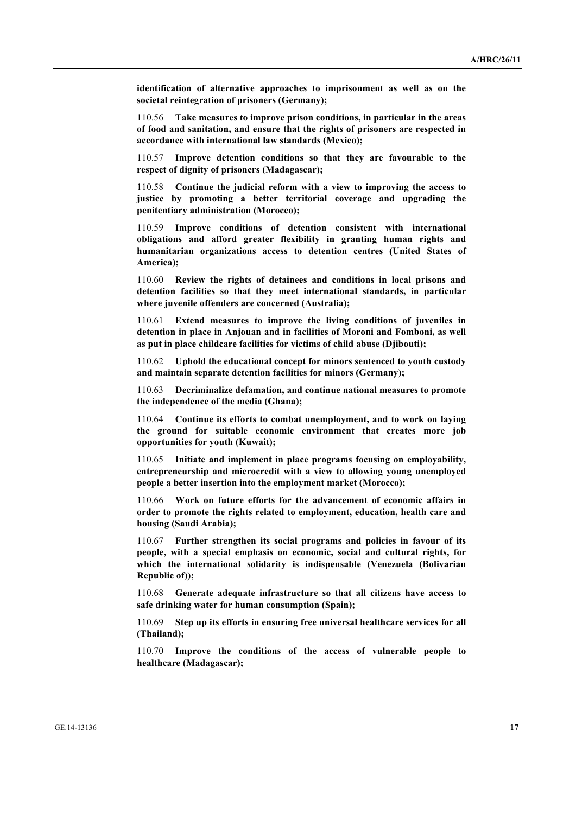**identification of alternative approaches to imprisonment as well as on the societal reintegration of prisoners (Germany);**

110.56 **Take measures to improve prison conditions, in particular in the areas of food and sanitation, and ensure that the rights of prisoners are respected in accordance with international law standards (Mexico);**

110.57 **Improve detention conditions so that they are favourable to the respect of dignity of prisoners (Madagascar);**

110.58 **Continue the judicial reform with a view to improving the access to justice by promoting a better territorial coverage and upgrading the penitentiary administration (Morocco);**

110.59 **Improve conditions of detention consistent with international obligations and afford greater flexibility in granting human rights and humanitarian organizations access to detention centres (United States of America);**

110.60 **Review the rights of detainees and conditions in local prisons and detention facilities so that they meet international standards, in particular where juvenile offenders are concerned (Australia);**

110.61 **Extend measures to improve the living conditions of juveniles in detention in place in Anjouan and in facilities of Moroni and Fomboni, as well as put in place childcare facilities for victims of child abuse (Djibouti);**

110.62 **Uphold the educational concept for minors sentenced to youth custody and maintain separate detention facilities for minors (Germany);**

110.63 **Decriminalize defamation, and continue national measures to promote the independence of the media (Ghana);**

110.64 **Continue its efforts to combat unemployment, and to work on laying the ground for suitable economic environment that creates more job opportunities for youth (Kuwait);**

110.65 **Initiate and implement in place programs focusing on employability, entrepreneurship and microcredit with a view to allowing young unemployed people a better insertion into the employment market (Morocco);**

110.66 **Work on future efforts for the advancement of economic affairs in order to promote the rights related to employment, education, health care and housing (Saudi Arabia);**

110.67 **Further strengthen its social programs and policies in favour of its people, with a special emphasis on economic, social and cultural rights, for which the international solidarity is indispensable (Venezuela (Bolivarian Republic of));**

110.68 **Generate adequate infrastructure so that all citizens have access to safe drinking water for human consumption (Spain);**

110.69 **Step up its efforts in ensuring free universal healthcare services for all (Thailand);**

110.70 **Improve the conditions of the access of vulnerable people to healthcare (Madagascar);**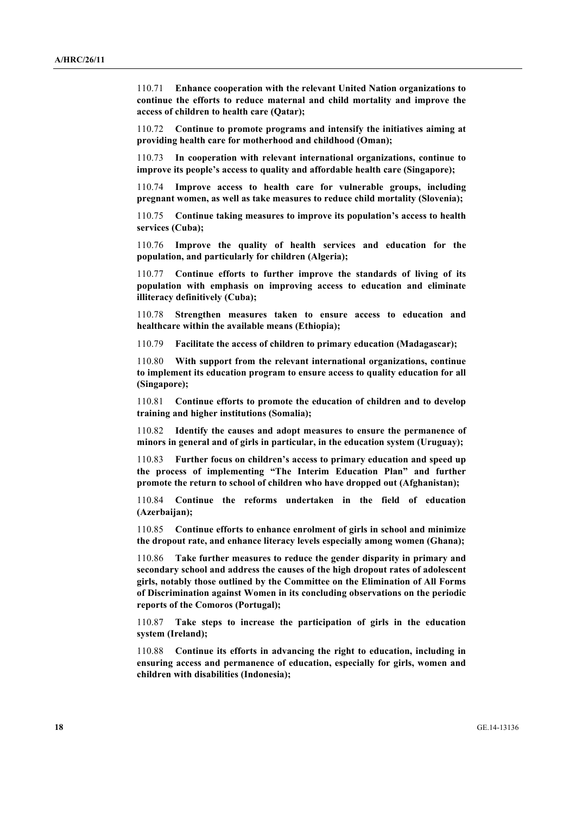110.71 **Enhance cooperation with the relevant United Nation organizations to continue the efforts to reduce maternal and child mortality and improve the access of children to health care (Qatar);**

110.72 **Continue to promote programs and intensify the initiatives aiming at providing health care for motherhood and childhood (Oman);**

110.73 **In cooperation with relevant international organizations, continue to improve its people's access to quality and affordable health care (Singapore);**

110.74 **Improve access to health care for vulnerable groups, including pregnant women, as well as take measures to reduce child mortality (Slovenia);**

110.75 **Continue taking measures to improve its population's access to health services (Cuba);**

110.76 **Improve the quality of health services and education for the population, and particularly for children (Algeria);**

110.77 **Continue efforts to further improve the standards of living of its population with emphasis on improving access to education and eliminate illiteracy definitively (Cuba);**

110.78 **Strengthen measures taken to ensure access to education and healthcare within the available means (Ethiopia);**

110.79 **Facilitate the access of children to primary education (Madagascar);**

110.80 **With support from the relevant international organizations, continue to implement its education program to ensure access to quality education for all (Singapore);**

110.81 **Continue efforts to promote the education of children and to develop training and higher institutions (Somalia);**

110.82 **Identify the causes and adopt measures to ensure the permanence of minors in general and of girls in particular, in the education system (Uruguay);**

110.83 **Further focus on children's access to primary education and speed up the process of implementing "The Interim Education Plan" and further promote the return to school of children who have dropped out (Afghanistan);**

110.84 **Continue the reforms undertaken in the field of education (Azerbaijan);**

110.85 **Continue efforts to enhance enrolment of girls in school and minimize the dropout rate, and enhance literacy levels especially among women (Ghana);**

110.86 **Take further measures to reduce the gender disparity in primary and secondary school and address the causes of the high dropout rates of adolescent girls, notably those outlined by the Committee on the Elimination of All Forms of Discrimination against Women in its concluding observations on the periodic reports of the Comoros (Portugal);**

110.87 **Take steps to increase the participation of girls in the education system (Ireland);**

110.88 **Continue its efforts in advancing the right to education, including in ensuring access and permanence of education, especially for girls, women and children with disabilities (Indonesia);**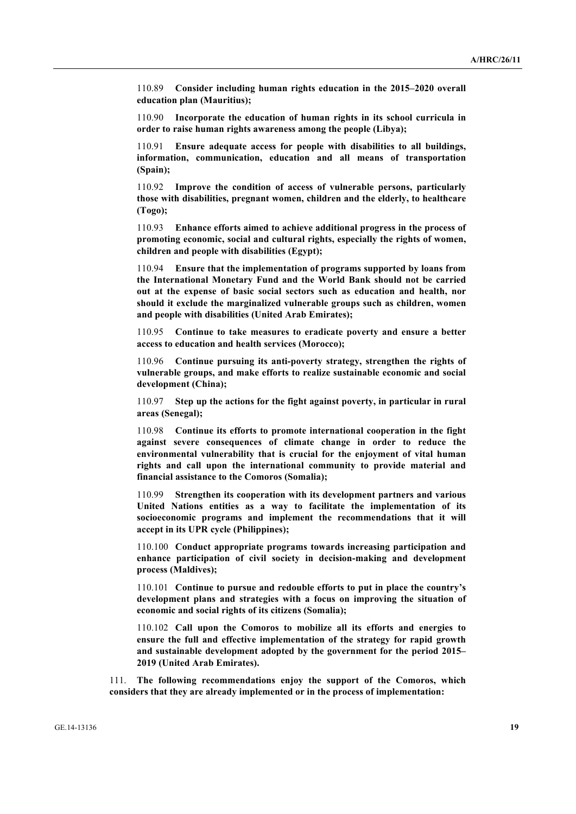110.89 **Consider including human rights education in the 2015–2020 overall education plan (Mauritius);**

110.90 **Incorporate the education of human rights in its school curricula in order to raise human rights awareness among the people (Libya);**

110.91 **Ensure adequate access for people with disabilities to all buildings, information, communication, education and all means of transportation (Spain);**

110.92 **Improve the condition of access of vulnerable persons, particularly those with disabilities, pregnant women, children and the elderly, to healthcare (Togo);**

110.93 **Enhance efforts aimed to achieve additional progress in the process of promoting economic, social and cultural rights, especially the rights of women, children and people with disabilities (Egypt);**

110.94 **Ensure that the implementation of programs supported by loans from the International Monetary Fund and the World Bank should not be carried out at the expense of basic social sectors such as education and health, nor should it exclude the marginalized vulnerable groups such as children, women and people with disabilities (United Arab Emirates);**

110.95 **Continue to take measures to eradicate poverty and ensure a better access to education and health services (Morocco);**

110.96 **Continue pursuing its anti-poverty strategy, strengthen the rights of vulnerable groups, and make efforts to realize sustainable economic and social development (China);**

110.97 **Step up the actions for the fight against poverty, in particular in rural areas (Senegal);**

110.98 **Continue its efforts to promote international cooperation in the fight against severe consequences of climate change in order to reduce the environmental vulnerability that is crucial for the enjoyment of vital human rights and call upon the international community to provide material and financial assistance to the Comoros (Somalia);**

110.99 **Strengthen its cooperation with its development partners and various United Nations entities as a way to facilitate the implementation of its socioeconomic programs and implement the recommendations that it will accept in its UPR cycle (Philippines);**

110.100 **Conduct appropriate programs towards increasing participation and enhance participation of civil society in decision-making and development process (Maldives);**

110.101 **Continue to pursue and redouble efforts to put in place the country's development plans and strategies with a focus on improving the situation of economic and social rights of its citizens (Somalia);**

110.102 **Call upon the Comoros to mobilize all its efforts and energies to ensure the full and effective implementation of the strategy for rapid growth and sustainable development adopted by the government for the period 2015– 2019 (United Arab Emirates).**

111. **The following recommendations enjoy the support of the Comoros, which considers that they are already implemented or in the process of implementation:**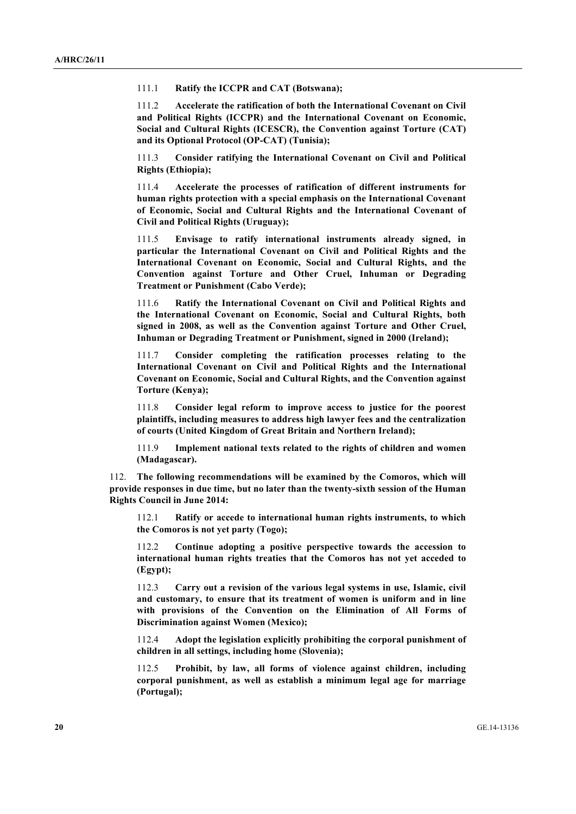111.1 **Ratify the ICCPR and CAT (Botswana);**

111.2 **Accelerate the ratification of both the International Covenant on Civil and Political Rights (ICCPR) and the International Covenant on Economic, Social and Cultural Rights (ICESCR), the Convention against Torture (CAT) and its Optional Protocol (OP-CAT) (Tunisia);**

111.3 **Consider ratifying the International Covenant on Civil and Political Rights (Ethiopia);**

111.4 **Accelerate the processes of ratification of different instruments for human rights protection with a special emphasis on the International Covenant of Economic, Social and Cultural Rights and the International Covenant of Civil and Political Rights (Uruguay);**

111.5 **Envisage to ratify international instruments already signed, in particular the International Covenant on Civil and Political Rights and the International Covenant on Economic, Social and Cultural Rights, and the Convention against Torture and Other Cruel, Inhuman or Degrading Treatment or Punishment (Cabo Verde);**

111.6 **Ratify the International Covenant on Civil and Political Rights and the International Covenant on Economic, Social and Cultural Rights, both signed in 2008, as well as the Convention against Torture and Other Cruel, Inhuman or Degrading Treatment or Punishment, signed in 2000 (Ireland);**

111.7 **Consider completing the ratification processes relating to the International Covenant on Civil and Political Rights and the International Covenant on Economic, Social and Cultural Rights, and the Convention against Torture (Kenya);**

111.8 **Consider legal reform to improve access to justice for the poorest plaintiffs, including measures to address high lawyer fees and the centralization of courts (United Kingdom of Great Britain and Northern Ireland);**

111.9 **Implement national texts related to the rights of children and women (Madagascar).**

112. **The following recommendations will be examined by the Comoros, which will provide responses in due time, but no later than the twenty-sixth session of the Human Rights Council in June 2014:**

112.1 **Ratify or accede to international human rights instruments, to which the Comoros is not yet party (Togo);**

112.2 **Continue adopting a positive perspective towards the accession to international human rights treaties that the Comoros has not yet acceded to (Egypt);**

112.3 **Carry out a revision of the various legal systems in use, Islamic, civil and customary, to ensure that its treatment of women is uniform and in line with provisions of the Convention on the Elimination of All Forms of Discrimination against Women (Mexico);**

112.4 **Adopt the legislation explicitly prohibiting the corporal punishment of children in all settings, including home (Slovenia);**

112.5 **Prohibit, by law, all forms of violence against children, including corporal punishment, as well as establish a minimum legal age for marriage (Portugal);**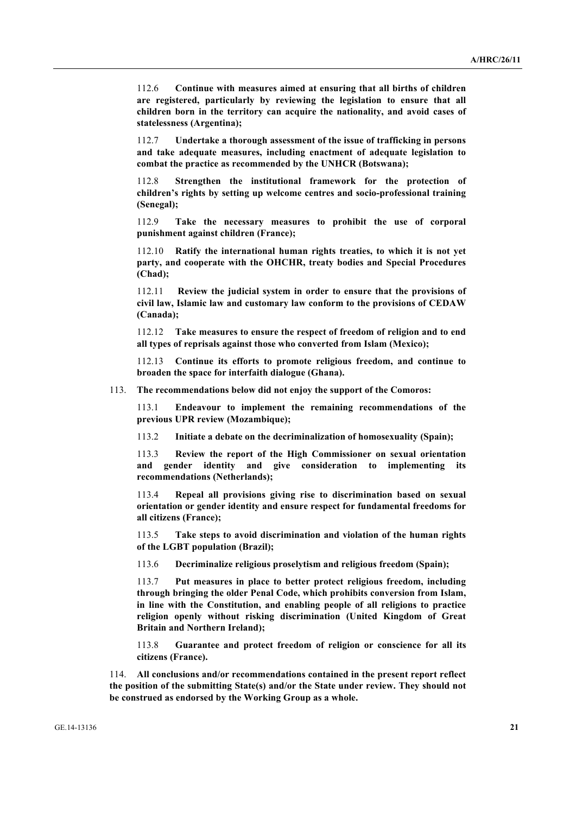112.6 **Continue with measures aimed at ensuring that all births of children are registered, particularly by reviewing the legislation to ensure that all children born in the territory can acquire the nationality, and avoid cases of statelessness (Argentina);**

112.7 **Undertake a thorough assessment of the issue of trafficking in persons and take adequate measures, including enactment of adequate legislation to combat the practice as recommended by the UNHCR (Botswana);**

112.8 **Strengthen the institutional framework for the protection of children's rights by setting up welcome centres and socio-professional training (Senegal);**

112.9 **Take the necessary measures to prohibit the use of corporal punishment against children (France);**

112.10 **Ratify the international human rights treaties, to which it is not yet party, and cooperate with the OHCHR, treaty bodies and Special Procedures (Chad);**

112.11 **Review the judicial system in order to ensure that the provisions of civil law, Islamic law and customary law conform to the provisions of CEDAW (Canada);**

112.12 **Take measures to ensure the respect of freedom of religion and to end all types of reprisals against those who converted from Islam (Mexico);**

112.13 **Continue its efforts to promote religious freedom, and continue to broaden the space for interfaith dialogue (Ghana).**

113. **The recommendations below did not enjoy the support of the Comoros:**

113.1 **Endeavour to implement the remaining recommendations of the previous UPR review (Mozambique);**

113.2 **Initiate a debate on the decriminalization of homosexuality (Spain);**

113.3 **Review the report of the High Commissioner on sexual orientation and gender identity and give consideration to implementing its recommendations (Netherlands);**

113.4 **Repeal all provisions giving rise to discrimination based on sexual orientation or gender identity and ensure respect for fundamental freedoms for all citizens (France);**

113.5 **Take steps to avoid discrimination and violation of the human rights of the LGBT population (Brazil);**

113.6 **Decriminalize religious proselytism and religious freedom (Spain);**

113.7 **Put measures in place to better protect religious freedom, including through bringing the older Penal Code, which prohibits conversion from Islam, in line with the Constitution, and enabling people of all religions to practice religion openly without risking discrimination (United Kingdom of Great Britain and Northern Ireland);**

113.8 **Guarantee and protect freedom of religion or conscience for all its citizens (France).**

114. **All conclusions and/or recommendations contained in the present report reflect the position of the submitting State(s) and/or the State under review. They should not be construed as endorsed by the Working Group as a whole.**